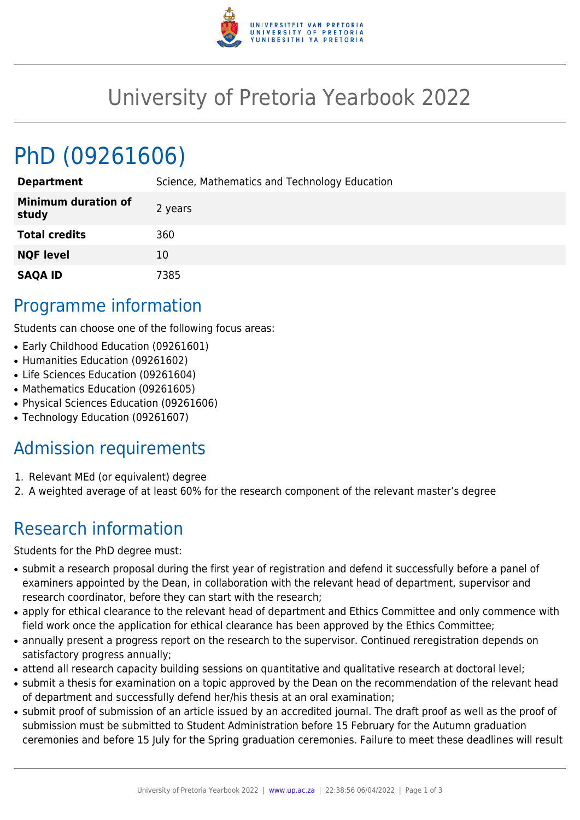

## University of Pretoria Yearbook 2022

# PhD (09261606)

| <b>Department</b>                   | Science, Mathematics and Technology Education |
|-------------------------------------|-----------------------------------------------|
| <b>Minimum duration of</b><br>study | 2 years                                       |
| <b>Total credits</b>                | 360                                           |
| <b>NQF level</b>                    | 10                                            |
| <b>SAQA ID</b>                      | 7385                                          |

#### Programme information

Students can choose one of the following focus areas:

- Early Childhood Education (09261601)
- Humanities Education (09261602)
- Life Sciences Education (09261604)
- Mathematics Education (09261605)
- Physical Sciences Education (09261606)
- Technology Education (09261607)

### Admission requirements

- 1. Relevant MEd (or equivalent) degree
- 2. A weighted average of at least 60% for the research component of the relevant master's degree

### Research information

Students for the PhD degree must:

- submit a research proposal during the first year of registration and defend it successfully before a panel of examiners appointed by the Dean, in collaboration with the relevant head of department, supervisor and research coordinator, before they can start with the research;
- apply for ethical clearance to the relevant head of department and Ethics Committee and only commence with field work once the application for ethical clearance has been approved by the Ethics Committee;
- annually present a progress report on the research to the supervisor. Continued reregistration depends on satisfactory progress annually;
- attend all research capacity building sessions on quantitative and qualitative research at doctoral level;
- submit a thesis for examination on a topic approved by the Dean on the recommendation of the relevant head of department and successfully defend her/his thesis at an oral examination;
- submit proof of submission of an article issued by an accredited journal. The draft proof as well as the proof of submission must be submitted to Student Administration before 15 February for the Autumn graduation ceremonies and before 15 July for the Spring graduation ceremonies. Failure to meet these deadlines will result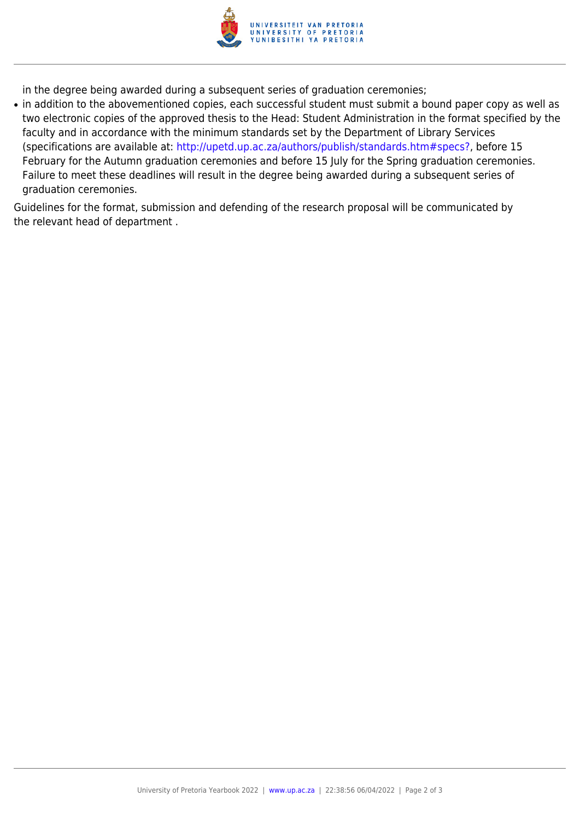

in the degree being awarded during a subsequent series of graduation ceremonies;

• in addition to the abovementioned copies, each successful student must submit a bound paper copy as well as two electronic copies of the approved thesis to the Head: Student Administration in the format specified by the faculty and in accordance with the minimum standards set by the Department of Library Services (specifications are available at: [http://upetd.up.ac.za/authors/publish/standards.htm#specs?,](http://upetd.up.ac.za/authors/publish/standards.htm#specs) before 15 February for the Autumn graduation ceremonies and before 15 July for the Spring graduation ceremonies. Failure to meet these deadlines will result in the degree being awarded during a subsequent series of graduation ceremonies.

Guidelines for the format, submission and defending of the research proposal will be communicated by the relevant head of department .